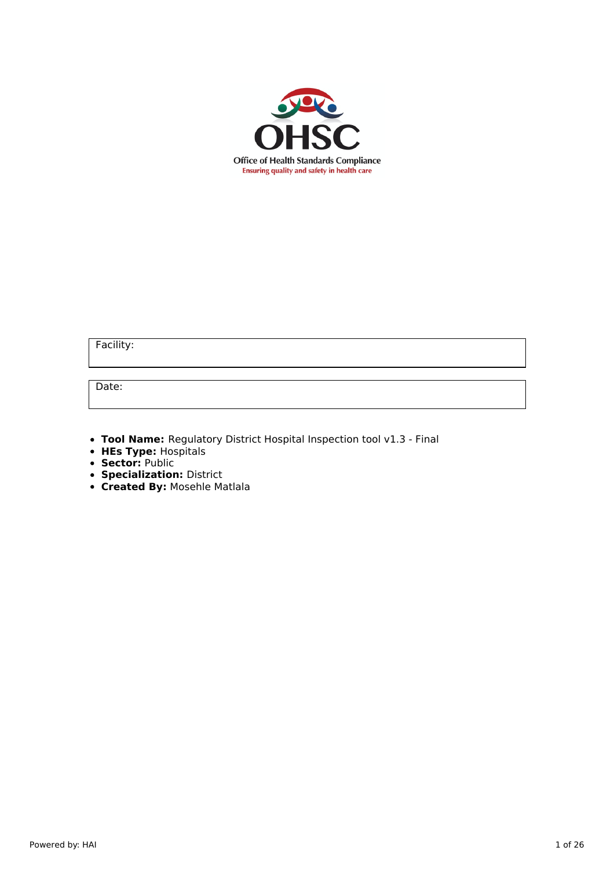

Facility:

Date:

**Tool Name:** Regulatory District Hospital Inspection tool v1.3 - Final

- **HEs Type:** Hospitals
- **Sector:** Public
- **Specialization:** District
- **Created By:** Mosehle Matlala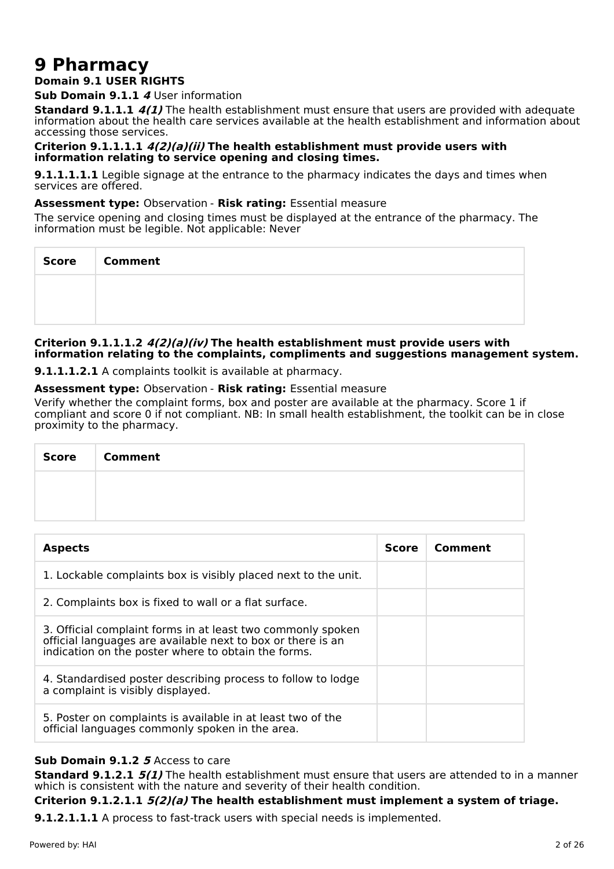# **9 Pharmacy**

## **Domain 9.1 USER RIGHTS**

**Sub Domain 9.1.1 4** User information

**Standard 9.1.1.1 4(1)** The health establishment must ensure that users are provided with adequate information about the health care services available at the health establishment and information about accessing those services.

#### **Criterion 9.1.1.1.1 4(2)(a)(ii) The health establishment must provide users with information relating to service opening and closing times.**

**9.1.1.1.1.1** Legible signage at the entrance to the pharmacy indicates the days and times when services are offered.

#### **Assessment type:** Observation - **Risk rating:** Essential measure

The service opening and closing times must be displayed at the entrance of the pharmacy. The information must be legible. Not applicable: Never

| Score | <b>Comment</b> |
|-------|----------------|
|       |                |
|       |                |

#### **Criterion 9.1.1.1.2 4(2)(a)(iv) The health establishment must provide users with information relating to the complaints, compliments and suggestions management system.**

**9.1.1.1.2.1** A complaints toolkit is available at pharmacy.

#### **Assessment type:** Observation - **Risk rating:** Essential measure

Verify whether the complaint forms, box and poster are available at the pharmacy. Score 1 if compliant and score 0 if not compliant. NB: In small health establishment, the toolkit can be in close proximity to the pharmacy.

| <b>Score</b> | <b>Comment</b> |
|--------------|----------------|
|              |                |
|              |                |

| <b>Aspects</b>                                                                                                                                                                    | <b>Score</b> | Comment |
|-----------------------------------------------------------------------------------------------------------------------------------------------------------------------------------|--------------|---------|
| 1. Lockable complaints box is visibly placed next to the unit.                                                                                                                    |              |         |
| 2. Complaints box is fixed to wall or a flat surface.                                                                                                                             |              |         |
| 3. Official complaint forms in at least two commonly spoken<br>official languages are available next to box or there is an<br>indication on the poster where to obtain the forms. |              |         |
| 4. Standardised poster describing process to follow to lodge<br>a complaint is visibly displayed.                                                                                 |              |         |
| 5. Poster on complaints is available in at least two of the<br>official languages commonly spoken in the area.                                                                    |              |         |

## **Sub Domain 9.1.2 5** Access to care

**Standard 9.1.2.1 5(1)** The health establishment must ensure that users are attended to in a manner which is consistent with the nature and severity of their health condition.

## **Criterion 9.1.2.1.1 5(2)(a) The health establishment must implement a system of triage.**

**9.1.2.1.1.1** A process to fast-track users with special needs is implemented.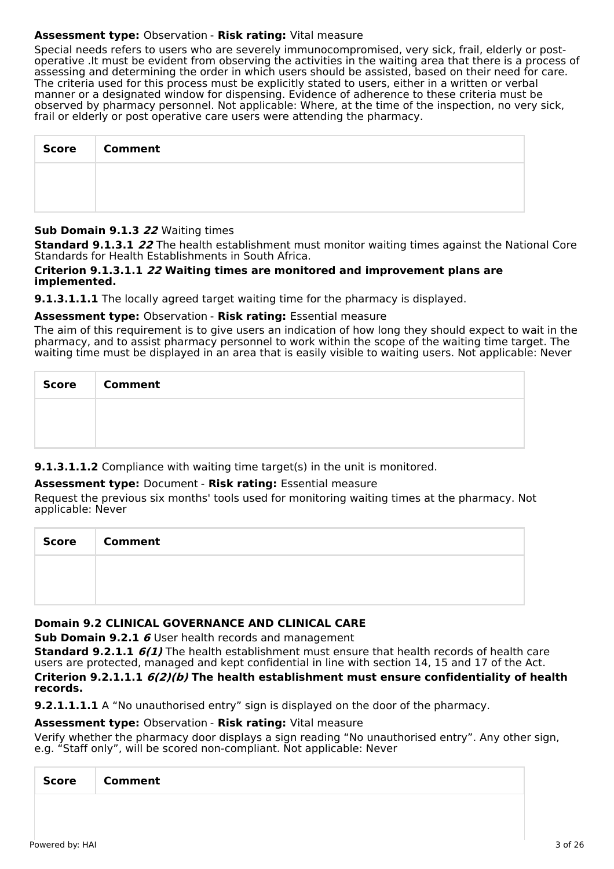## **Assessment type:** Observation - **Risk rating:** Vital measure

Special needs refers to users who are severely immunocompromised, very sick, frail, elderly or postoperative .It must be evident from observing the activities in the waiting area that there is a process of assessing and determining the order in which users should be assisted, based on their need for care. The criteria used for this process must be explicitly stated to users, either in a written or verbal manner or a designated window for dispensing. Evidence of adherence to these criteria must be observed by pharmacy personnel. Not applicable: Where, at the time of the inspection, no very sick, frail or elderly or post operative care users were attending the pharmacy.

| <b>Score</b> | <b>Comment</b> |
|--------------|----------------|
|              |                |
|              |                |

## **Sub Domain 9.1.3 22** Waiting times

**Standard 9.1.3.1 22** The health establishment must monitor waiting times against the National Core Standards for Health Establishments in South Africa.

#### **Criterion 9.1.3.1.1 22 Waiting times are monitored and improvement plans are implemented.**

**9.1.3.1.1.1** The locally agreed target waiting time for the pharmacy is displayed.

## **Assessment type:** Observation - **Risk rating:** Essential measure

The aim of this requirement is to give users an indication of how long they should expect to wait in the pharmacy, and to assist pharmacy personnel to work within the scope of the waiting time target. The waiting time must be displayed in an area that is easily visible to waiting users. Not applicable: Never

| Score   Comment |
|-----------------|
|                 |
|                 |

## **9.1.3.1.1.2** Compliance with waiting time target(s) in the unit is monitored.

## **Assessment type:** Document - **Risk rating:** Essential measure

Request the previous six months' tools used for monitoring waiting times at the pharmacy. Not applicable: Never

| <b>Score</b> | <b>Comment</b> |
|--------------|----------------|
|              |                |
|              |                |

## **Domain 9.2 CLINICAL GOVERNANCE AND CLINICAL CARE**

**Sub Domain 9.2.1 6** User health records and management

**Standard 9.2.1.1 6(1)** The health establishment must ensure that health records of health care users are protected, managed and kept confidential in line with section 14, 15 and 17 of the Act. **Criterion 9.2.1.1.1 6(2)(b) The health establishment must ensure confidentiality of health records.**

**9.2.1.1.1.1** A "No unauthorised entry" sign is displayed on the door of the pharmacy.

#### **Assessment type:** Observation - **Risk rating:** Vital measure

Verify whether the pharmacy door displays a sign reading "No unauthorised entry". Any other sign, e.g. "Staff only", will be scored non-compliant. Not applicable: Never

|--|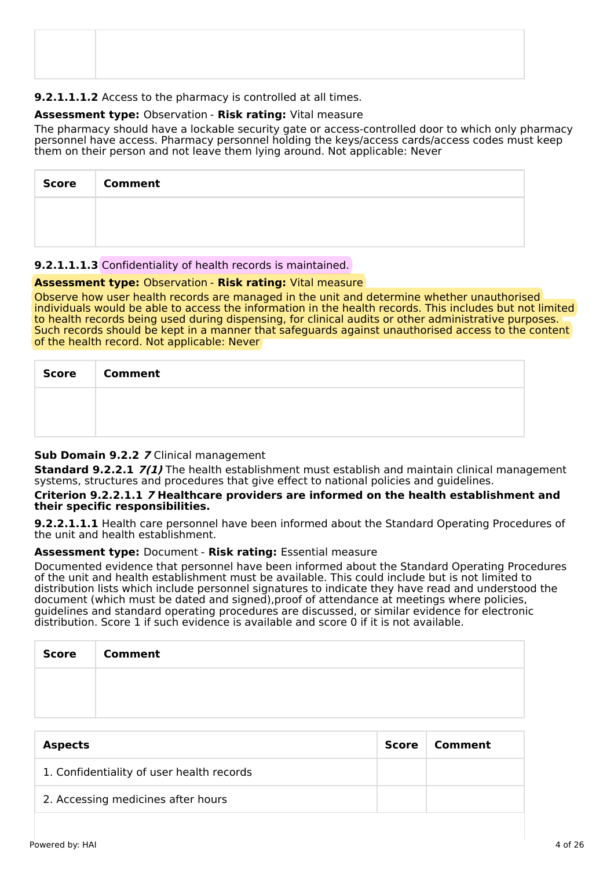## **9.2.1.1.1.2** Access to the pharmacy is controlled at all times.

## **Assessment type:** Observation - **Risk rating:** Vital measure

The pharmacy should have a lockable security gate or access-controlled door to which only pharmacy personnel have access. Pharmacy personnel holding the keys/access cards/access codes must keep them on their person and not leave them lying around. Not applicable: Never

| <b>Score</b> | <b>Comment</b> |
|--------------|----------------|
|              |                |
|              |                |

## **9.2.1.1.1.3** Confidentiality of health records is maintained.

## **Assessment type:** Observation - **Risk rating:** Vital measure

Observe how user health records are managed in the unit and determine whether unauthorised individuals would be able to access the information in the health records. This includes but not limited to health records being used during dispensing, for clinical audits or other administrative purposes. Such records should be kept in a manner that safeguards against unauthorised access to the content of the health record. Not applicable: Never

| Score   Comment |
|-----------------|
|                 |
|                 |

## **Sub Domain 9.2.2 7** Clinical management

**Standard 9.2.2.1 7(1)** The health establishment must establish and maintain clinical management systems, structures and procedures that give effect to national policies and guidelines.

#### **Criterion 9.2.2.1.1 7 Healthcare providers are informed on the health establishment and their specific responsibilities.**

**9.2.2.1.1.1** Health care personnel have been informed about the Standard Operating Procedures of the unit and health establishment.

#### **Assessment type:** Document - **Risk rating:** Essential measure

Documented evidence that personnel have been informed about the Standard Operating Procedures of the unit and health establishment must be available. This could include but is not limited to distribution lists which include personnel signatures to indicate they have read and understood the document (which must be dated and signed),proof of attendance at meetings where policies, guidelines and standard operating procedures are discussed, or similar evidence for electronic distribution. Score 1 if such evidence is available and score 0 if it is not available.

| Score   Comment |
|-----------------|
|                 |
|                 |

| <b>Aspects</b>                            | Score | Comment |
|-------------------------------------------|-------|---------|
| 1. Confidentiality of user health records |       |         |
| 2. Accessing medicines after hours        |       |         |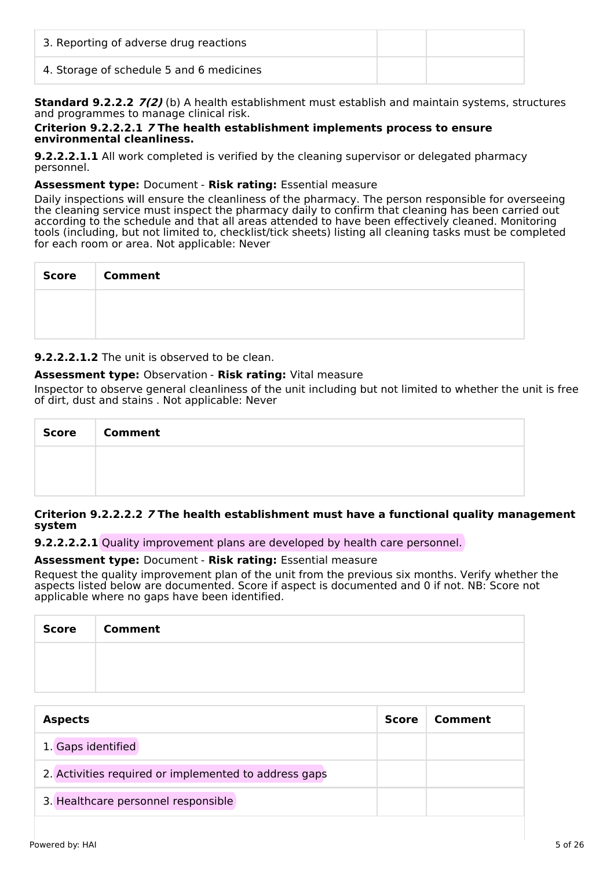| 3. Reporting of adverse drug reactions   |  |
|------------------------------------------|--|
| 4. Storage of schedule 5 and 6 medicines |  |

**Standard 9.2.2.2 7(2)** (b) A health establishment must establish and maintain systems, structures and programmes to manage clinical risk.

#### **Criterion 9.2.2.2.1 7 The health establishment implements process to ensure environmental cleanliness.**

**9.2.2.2.1.1** All work completed is verified by the cleaning supervisor or delegated pharmacy personnel.

## **Assessment type:** Document - **Risk rating:** Essential measure

Daily inspections will ensure the cleanliness of the pharmacy. The person responsible for overseeing the cleaning service must inspect the pharmacy daily to confirm that cleaning has been carried out according to the schedule and that all areas attended to have been effectively cleaned. Monitoring tools (including, but not limited to, checklist/tick sheets) listing all cleaning tasks must be completed for each room or area. Not applicable: Never

| Score   Comment |
|-----------------|
|                 |
|                 |

**9.2.2.2.1.2** The unit is observed to be clean.

## **Assessment type:** Observation - **Risk rating:** Vital measure

Inspector to observe general cleanliness of the unit including but not limited to whether the unit is free of dirt, dust and stains . Not applicable: Never

| <b>Score</b> | <b>Comment</b> |
|--------------|----------------|
|              |                |
|              |                |

## **Criterion 9.2.2.2.2 7 The health establishment must have a functional quality management system**

**9.2.2.2.2.1** Quality improvement plans are developed by health care personnel.

## **Assessment type:** Document - **Risk rating:** Essential measure

Request the quality improvement plan of the unit from the previous six months. Verify whether the aspects listed below are documented. Score if aspect is documented and 0 if not. NB: Score not applicable where no gaps have been identified.

| Score | <b>Comment</b> |
|-------|----------------|
|       |                |
|       |                |

| <b>Aspects</b>                                        | <b>Score</b> | Comment |
|-------------------------------------------------------|--------------|---------|
| 1. Gaps identified                                    |              |         |
| 2. Activities required or implemented to address gaps |              |         |
| 3. Healthcare personnel responsible                   |              |         |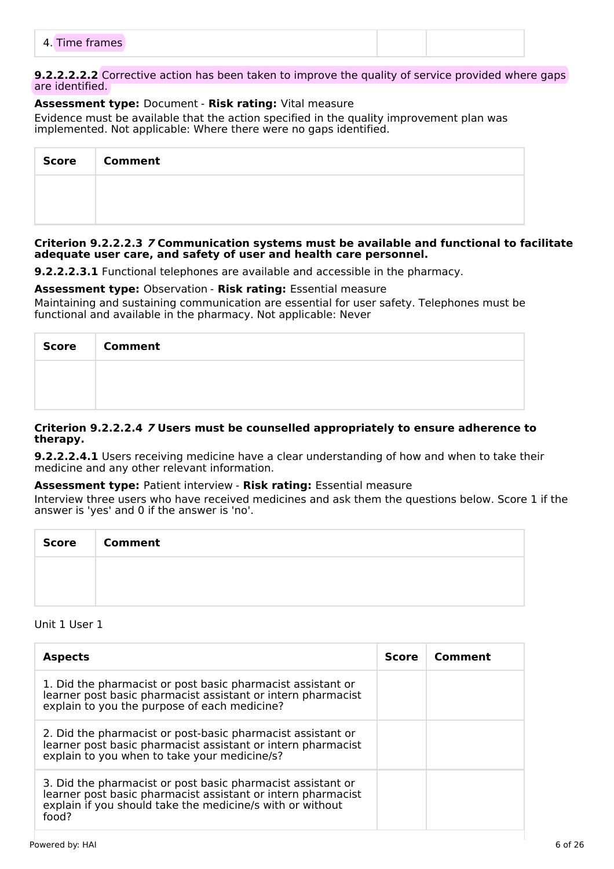|--|

#### **9.2.2.2.2.2** Corrective action has been taken to improve the quality of service provided where gaps are identified.

## **Assessment type:** Document - **Risk rating:** Vital measure

Evidence must be available that the action specified in the quality improvement plan was implemented. Not applicable: Where there were no gaps identified.

| <b>Score</b> | <b>Comment</b> |
|--------------|----------------|
|              |                |
|              |                |

#### **Criterion 9.2.2.2.3 7 Communication systems must be available and functional to facilitate adequate user care, and safety of user and health care personnel.**

**9.2.2.2.3.1** Functional telephones are available and accessible in the pharmacy.

## **Assessment type:** Observation - **Risk rating:** Essential measure

Maintaining and sustaining communication are essential for user safety. Telephones must be functional and available in the pharmacy. Not applicable: Never

| Score   Comment |
|-----------------|
|                 |
|                 |

#### **Criterion 9.2.2.2.4 7 Users must be counselled appropriately to ensure adherence to therapy.**

**9.2.2.2.4.1** Users receiving medicine have a clear understanding of how and when to take their medicine and any other relevant information.

## **Assessment type:** Patient interview - **Risk rating:** Essential measure

Interview three users who have received medicines and ask them the questions below. Score 1 if the answer is 'yes' and 0 if the answer is 'no'.

| <b>Score</b> | <b>Comment</b> |
|--------------|----------------|
|              |                |
|              |                |

#### Unit 1 User 1

| <b>Aspects</b>                                                                                                                                                                                    | <b>Score</b> | Comment |
|---------------------------------------------------------------------------------------------------------------------------------------------------------------------------------------------------|--------------|---------|
| 1. Did the pharmacist or post basic pharmacist assistant or<br>learner post basic pharmacist assistant or intern pharmacist<br>explain to you the purpose of each medicine?                       |              |         |
| 2. Did the pharmacist or post-basic pharmacist assistant or<br>learner post basic pharmacist assistant or intern pharmacist<br>explain to you when to take your medicine/s?                       |              |         |
| 3. Did the pharmacist or post basic pharmacist assistant or<br>learner post basic pharmacist assistant or intern pharmacist<br>explain if you should take the medicine/s with or without<br>food? |              |         |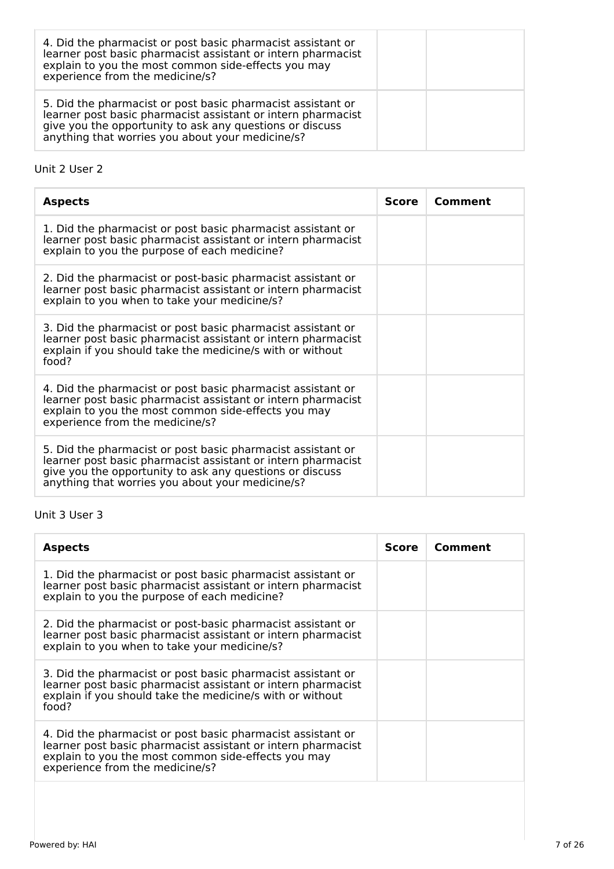| 4. Did the pharmacist or post basic pharmacist assistant or<br>learner post basic pharmacist assistant or intern pharmacist<br>explain to you the most common side-effects you may<br>experience from the medicine/s?                       |  |
|---------------------------------------------------------------------------------------------------------------------------------------------------------------------------------------------------------------------------------------------|--|
| 5. Did the pharmacist or post basic pharmacist assistant or<br>learner post basic pharmacist assistant or intern pharmacist<br>give you the opportunity to ask any questions or discuss<br>anything that worries you about your medicine/s? |  |

## Unit 2 User 2

| <b>Aspects</b>                                                                                                                                                                                                                              | <b>Score</b> | Comment |
|---------------------------------------------------------------------------------------------------------------------------------------------------------------------------------------------------------------------------------------------|--------------|---------|
| 1. Did the pharmacist or post basic pharmacist assistant or<br>learner post basic pharmacist assistant or intern pharmacist<br>explain to you the purpose of each medicine?                                                                 |              |         |
| 2. Did the pharmacist or post-basic pharmacist assistant or<br>learner post basic pharmacist assistant or intern pharmacist<br>explain to you when to take your medicine/s?                                                                 |              |         |
| 3. Did the pharmacist or post basic pharmacist assistant or<br>learner post basic pharmacist assistant or intern pharmacist<br>explain if you should take the medicine/s with or without<br>food?                                           |              |         |
| 4. Did the pharmacist or post basic pharmacist assistant or<br>learner post basic pharmacist assistant or intern pharmacist<br>explain to you the most common side-effects you may<br>experience from the medicine/s?                       |              |         |
| 5. Did the pharmacist or post basic pharmacist assistant or<br>learner post basic pharmacist assistant or intern pharmacist<br>give you the opportunity to ask any questions or discuss<br>anything that worries you about your medicine/s? |              |         |

## Unit 3 User 3

| <b>Aspects</b>                                                                                                                                                                                                        | Score | Comment |
|-----------------------------------------------------------------------------------------------------------------------------------------------------------------------------------------------------------------------|-------|---------|
| 1. Did the pharmacist or post basic pharmacist assistant or<br>learner post basic pharmacist assistant or intern pharmacist<br>explain to you the purpose of each medicine?                                           |       |         |
| 2. Did the pharmacist or post-basic pharmacist assistant or<br>learner post basic pharmacist assistant or intern pharmacist<br>explain to you when to take your medicine/s?                                           |       |         |
| 3. Did the pharmacist or post basic pharmacist assistant or<br>learner post basic pharmacist assistant or intern pharmacist<br>explain if you should take the medicine/s with or without<br>food?                     |       |         |
| 4. Did the pharmacist or post basic pharmacist assistant or<br>learner post basic pharmacist assistant or intern pharmacist<br>explain to you the most common side-effects you may<br>experience from the medicine/s? |       |         |
|                                                                                                                                                                                                                       |       |         |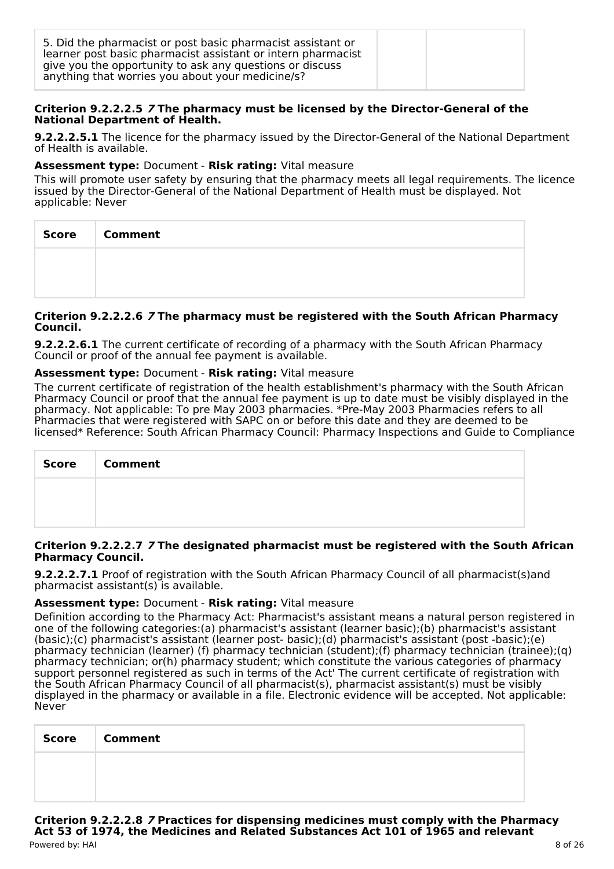| 5. Did the pharmacist or post basic pharmacist assistant or<br>learner post basic pharmacist assistant or intern pharmacist<br>give you the opportunity to ask any questions or discuss<br>anything that worries you about your medicine/s? |  |  |
|---------------------------------------------------------------------------------------------------------------------------------------------------------------------------------------------------------------------------------------------|--|--|
|---------------------------------------------------------------------------------------------------------------------------------------------------------------------------------------------------------------------------------------------|--|--|

#### **Criterion 9.2.2.2.5 7 The pharmacy must be licensed by the Director-General of the National Department of Health.**

**9.2.2.2.5.1** The licence for the pharmacy issued by the Director-General of the National Department of Health is available.

#### **Assessment type:** Document - **Risk rating:** Vital measure

This will promote user safety by ensuring that the pharmacy meets all legal requirements. The licence issued by the Director-General of the National Department of Health must be displayed. Not applicable: Never

| <b>Score</b> | <b>Comment</b> |
|--------------|----------------|
|              |                |
|              |                |

#### **Criterion 9.2.2.2.6 7 The pharmacy must be registered with the South African Pharmacy Council.**

**9.2.2.2.6.1** The current certificate of recording of a pharmacy with the South African Pharmacy Council or proof of the annual fee payment is available.

## **Assessment type:** Document - **Risk rating:** Vital measure

The current certificate of registration of the health establishment's pharmacy with the South African Pharmacy Council or proof that the annual fee payment is up to date must be visibly displayed in the pharmacy. Not applicable: To pre May 2003 pharmacies. \*Pre-May 2003 Pharmacies refers to all Pharmacies that were registered with SAPC on or before this date and they are deemed to be licensed\* Reference: South African Pharmacy Council: Pharmacy Inspections and Guide to Compliance

| Score | <b>Comment</b> |
|-------|----------------|
|       |                |
|       |                |

#### **Criterion 9.2.2.2.7 7 The designated pharmacist must be registered with the South African Pharmacy Council.**

**9.2.2.2.7.1** Proof of registration with the South African Pharmacy Council of all pharmacist(s)and pharmacist assistant(s) is available.

## **Assessment type:** Document - **Risk rating:** Vital measure

Definition according to the Pharmacy Act: Pharmacist's assistant means a natural person registered in one of the following categories:(a) pharmacist's assistant (learner basic);(b) pharmacist's assistant (basic);(c) pharmacist's assistant (learner post- basic);(d) pharmacist's assistant (post -basic);(e) pharmacy technician (learner) (f) pharmacy technician (student);(f) pharmacy technician (trainee);(q) pharmacy technician; or(h) pharmacy student; which constitute the various categories of pharmacy support personnel registered as such in terms of the Act' The current certificate of registration with the South African Pharmacy Council of all pharmacist(s), pharmacist assistant(s) must be visibly displayed in the pharmacy or available in a file. Electronic evidence will be accepted. Not applicable: Never

| <b>Score</b> | <b>Comment</b> |
|--------------|----------------|
|              |                |
|              |                |

**Criterion 9.2.2.2.8 7 Practices for dispensing medicines must comply with the Pharmacy Act 53 of 1974, the Medicines and Related Substances Act 101 of 1965 and relevant** Powered by: HAI 8 of 26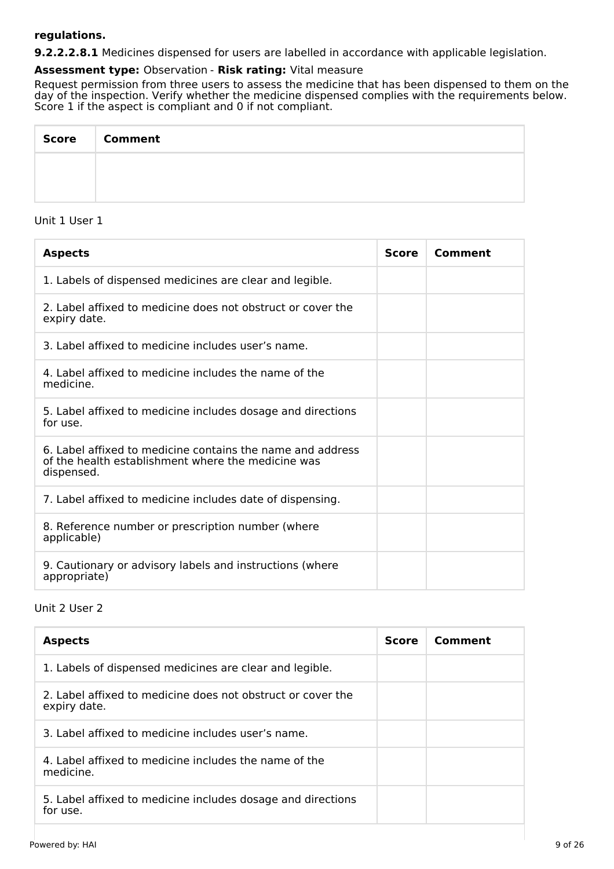## **regulations.**

**9.2.2.2.8.1** Medicines dispensed for users are labelled in accordance with applicable legislation.

#### **Assessment type:** Observation - **Risk rating:** Vital measure

Request permission from three users to assess the medicine that has been dispensed to them on the day of the inspection. Verify whether the medicine dispensed complies with the requirements below. Score 1 if the aspect is compliant and 0 if not compliant.

| Score   Comment |
|-----------------|
|                 |
|                 |

## Unit 1 User 1

| <b>Aspects</b>                                                                                                                 | <b>Score</b> | Comment |
|--------------------------------------------------------------------------------------------------------------------------------|--------------|---------|
| 1. Labels of dispensed medicines are clear and legible.                                                                        |              |         |
| 2. Label affixed to medicine does not obstruct or cover the<br>expiry date.                                                    |              |         |
| 3. Label affixed to medicine includes user's name.                                                                             |              |         |
| 4. Label affixed to medicine includes the name of the<br>medicine.                                                             |              |         |
| 5. Label affixed to medicine includes dosage and directions<br>for use.                                                        |              |         |
| 6. Label affixed to medicine contains the name and address<br>of the health establishment where the medicine was<br>dispensed. |              |         |
| 7. Label affixed to medicine includes date of dispensing.                                                                      |              |         |
| 8. Reference number or prescription number (where<br>applicable)                                                               |              |         |
| 9. Cautionary or advisory labels and instructions (where<br>appropriate)                                                       |              |         |

## Unit 2 User 2

| <b>Aspects</b>                                                              | <b>Score</b> | Comment |
|-----------------------------------------------------------------------------|--------------|---------|
| 1. Labels of dispensed medicines are clear and legible.                     |              |         |
| 2. Label affixed to medicine does not obstruct or cover the<br>expiry date. |              |         |
| 3. Label affixed to medicine includes user's name.                          |              |         |
| 4. Label affixed to medicine includes the name of the<br>medicine.          |              |         |
| 5. Label affixed to medicine includes dosage and directions<br>for use.     |              |         |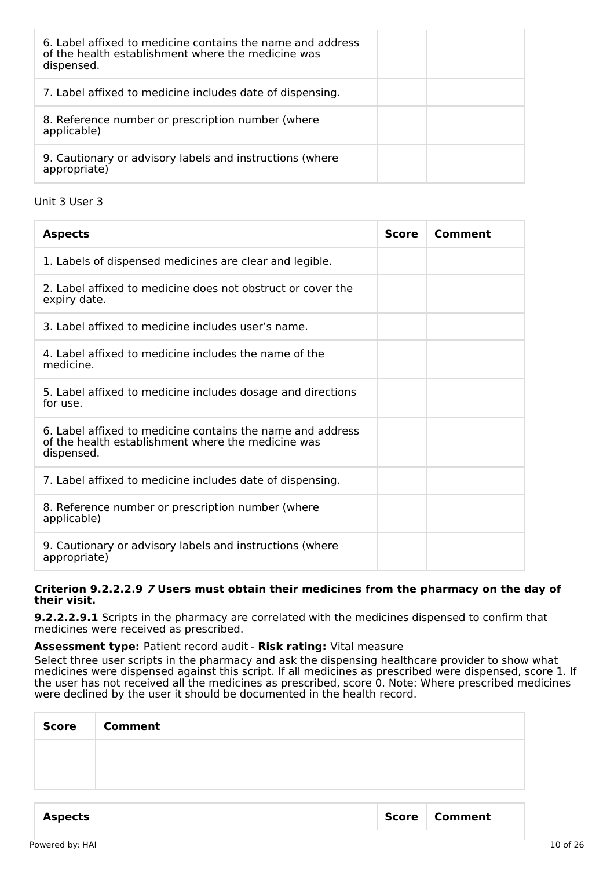| 6. Label affixed to medicine contains the name and address<br>of the health establishment where the medicine was<br>dispensed. |
|--------------------------------------------------------------------------------------------------------------------------------|
| 7. Label affixed to medicine includes date of dispensing.                                                                      |
| 8. Reference number or prescription number (where<br>applicable)                                                               |
| 9. Cautionary or advisory labels and instructions (where<br>appropriate)                                                       |

Unit 3 User 3

| <b>Aspects</b>                                                                                                                 | <b>Score</b> | Comment |
|--------------------------------------------------------------------------------------------------------------------------------|--------------|---------|
| 1. Labels of dispensed medicines are clear and legible.                                                                        |              |         |
| 2. Label affixed to medicine does not obstruct or cover the<br>expiry date.                                                    |              |         |
| 3. Label affixed to medicine includes user's name.                                                                             |              |         |
| 4. Label affixed to medicine includes the name of the<br>medicine.                                                             |              |         |
| 5. Label affixed to medicine includes dosage and directions<br>for use.                                                        |              |         |
| 6. Label affixed to medicine contains the name and address<br>of the health establishment where the medicine was<br>dispensed. |              |         |
| 7. Label affixed to medicine includes date of dispensing.                                                                      |              |         |
| 8. Reference number or prescription number (where<br>applicable)                                                               |              |         |
| 9. Cautionary or advisory labels and instructions (where<br>appropriate)                                                       |              |         |

#### **Criterion 9.2.2.2.9 7 Users must obtain their medicines from the pharmacy on the day of their visit.**

**9.2.2.2.9.1** Scripts in the pharmacy are correlated with the medicines dispensed to confirm that medicines were received as prescribed.

#### **Assessment type:** Patient record audit - **Risk rating:** Vital measure

Select three user scripts in the pharmacy and ask the dispensing healthcare provider to show what medicines were dispensed against this script. If all medicines as prescribed were dispensed, score 1. If the user has not received all the medicines as prescribed, score 0. Note: Where prescribed medicines were declined by the user it should be documented in the health record.

| <b>Score</b> | <b>Comment</b> |
|--------------|----------------|
|              |                |
|              |                |
|              |                |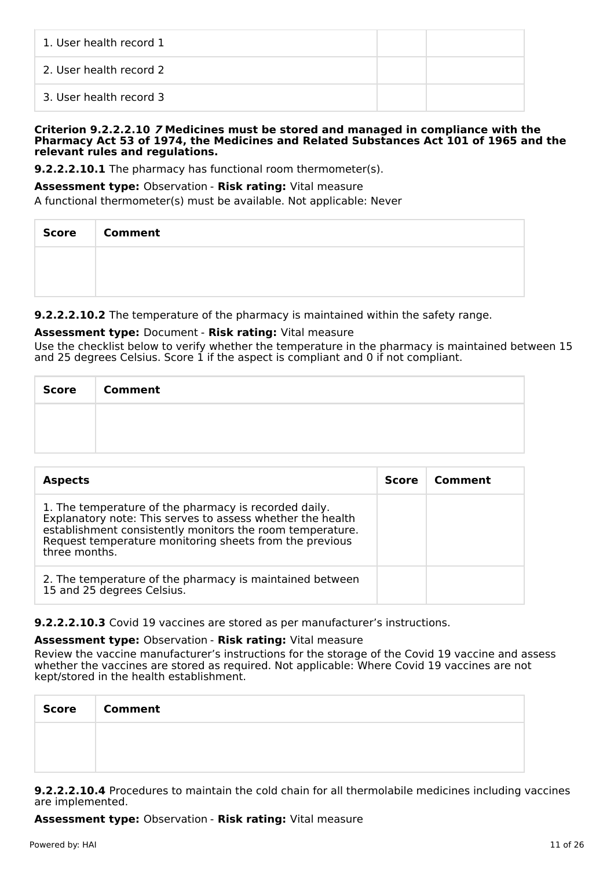| 1. User health record 1 |  |
|-------------------------|--|
| 2. User health record 2 |  |
| 3. User health record 3 |  |

#### **Criterion 9.2.2.2.10 7 Medicines must be stored and managed in compliance with the Pharmacy Act 53 of 1974, the Medicines and Related Substances Act 101 of 1965 and the relevant rules and regulations.**

**9.2.2.2.10.1** The pharmacy has functional room thermometer(s).

## **Assessment type:** Observation - **Risk rating:** Vital measure

A functional thermometer(s) must be available. Not applicable: Never

| Score   Comment |
|-----------------|
|                 |
|                 |

## **9.2.2.2.10.2** The temperature of the pharmacy is maintained within the safety range.

## **Assessment type:** Document - **Risk rating:** Vital measure

Use the checklist below to verify whether the temperature in the pharmacy is maintained between 15 and 25 degrees Celsius. Score 1 if the aspect is compliant and 0 if not compliant.

| Score | <b>Comment</b> |
|-------|----------------|
|       |                |
|       |                |

| <b>Aspects</b>                                                                                                                                                                                                                                               | <b>Score</b> | Comment |
|--------------------------------------------------------------------------------------------------------------------------------------------------------------------------------------------------------------------------------------------------------------|--------------|---------|
| 1. The temperature of the pharmacy is recorded daily.<br>Explanatory note: This serves to assess whether the health<br>establishment consistently monitors the room temperature.<br>Request temperature monitoring sheets from the previous<br>three months. |              |         |
| 2. The temperature of the pharmacy is maintained between<br>15 and 25 degrees Celsius.                                                                                                                                                                       |              |         |

## **9.2.2.2.10.3** Covid 19 vaccines are stored as per manufacturer's instructions.

## **Assessment type:** Observation - **Risk rating:** Vital measure

Review the vaccine manufacturer's instructions for the storage of the Covid 19 vaccine and assess whether the vaccines are stored as required. Not applicable: Where Covid 19 vaccines are not kept/stored in the health establishment.

| Score   Comment |
|-----------------|
|                 |
|                 |

**9.2.2.2.10.4** Procedures to maintain the cold chain for all thermolabile medicines including vaccines are implemented.

**Assessment type:** Observation - **Risk rating:** Vital measure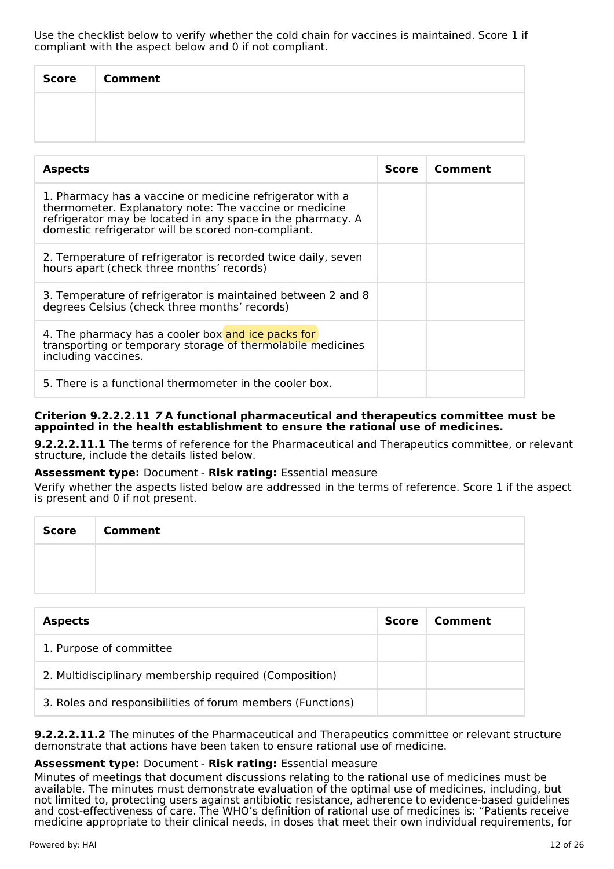| <b>Score</b> | <b>Comment</b> |
|--------------|----------------|
|              |                |
|              |                |

| <b>Aspects</b>                                                                                                                                                                                                                            | Score | Comment |
|-------------------------------------------------------------------------------------------------------------------------------------------------------------------------------------------------------------------------------------------|-------|---------|
| 1. Pharmacy has a vaccine or medicine refrigerator with a<br>thermometer. Explanatory note: The vaccine or medicine<br>refrigerator may be located in any space in the pharmacy. A<br>domestic refrigerator will be scored non-compliant. |       |         |
| 2. Temperature of refrigerator is recorded twice daily, seven<br>hours apart (check three months' records)                                                                                                                                |       |         |
| 3. Temperature of refrigerator is maintained between 2 and 8<br>degrees Celsius (check three months' records)                                                                                                                             |       |         |
| 4. The pharmacy has a cooler box and ice packs for<br>transporting or temporary storage of thermolabile medicines<br>including vaccines.                                                                                                  |       |         |
| 5. There is a functional thermometer in the cooler box.                                                                                                                                                                                   |       |         |

## **Criterion 9.2.2.2.11 7 A functional pharmaceutical and therapeutics committee must be appointed in the health establishment to ensure the rational use of medicines.**

**9.2.2.2.11.1** The terms of reference for the Pharmaceutical and Therapeutics committee, or relevant structure, include the details listed below.

## **Assessment type:** Document - **Risk rating:** Essential measure

Verify whether the aspects listed below are addressed in the terms of reference. Score 1 if the aspect is present and 0 if not present.

| <b>Score</b> | <b>Comment</b> |
|--------------|----------------|
|              |                |
|              |                |

| <b>Aspects</b>                                             | <b>Score</b> | Comment |
|------------------------------------------------------------|--------------|---------|
| 1. Purpose of committee                                    |              |         |
| 2. Multidisciplinary membership required (Composition)     |              |         |
| 3. Roles and responsibilities of forum members (Functions) |              |         |

**9.2.2.2.11.2** The minutes of the Pharmaceutical and Therapeutics committee or relevant structure demonstrate that actions have been taken to ensure rational use of medicine.

## **Assessment type:** Document - **Risk rating:** Essential measure

Minutes of meetings that document discussions relating to the rational use of medicines must be available. The minutes must demonstrate evaluation of the optimal use of medicines, including, but not limited to, protecting users against antibiotic resistance, adherence to evidence-based guidelines and cost-effectiveness of care. The WHO's definition of rational use of medicines is: "Patients receive medicine appropriate to their clinical needs, in doses that meet their own individual requirements, for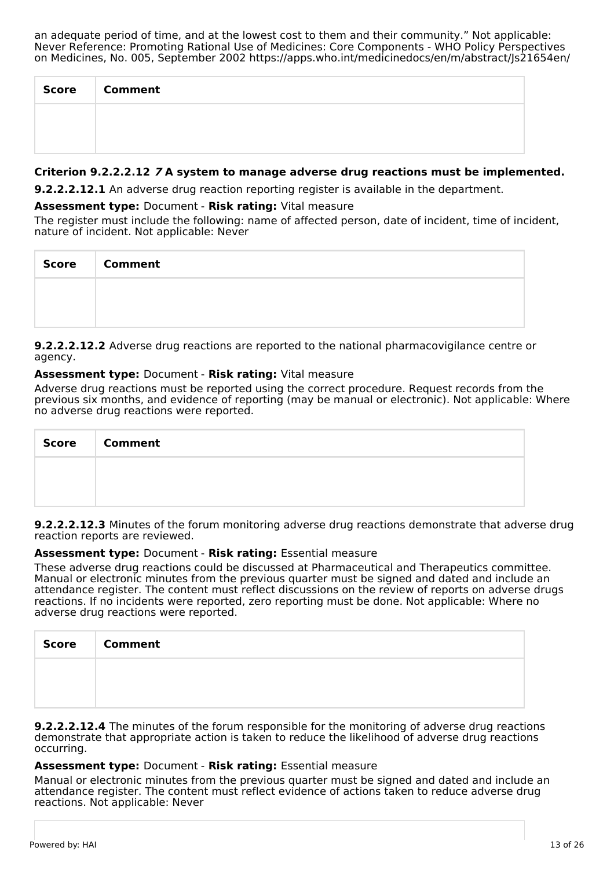an adequate period of time, and at the lowest cost to them and their community." Not applicable: Never Reference: Promoting Rational Use of Medicines: Core Components - WHO Policy Perspectives on Medicines, No. 005, September 2002 https://apps.who.int/medicinedocs/en/m/abstract/Js21654en/

| <b>Score</b> | <b>Comment</b> |
|--------------|----------------|
|              |                |
|              |                |

## **Criterion 9.2.2.2.12 7 A system to manage adverse drug reactions must be implemented.**

**9.2.2.2.12.1** An adverse drug reaction reporting register is available in the department.

#### **Assessment type:** Document - **Risk rating:** Vital measure

The register must include the following: name of affected person, date of incident, time of incident, nature of incident. Not applicable: Never

| Score   Comment |
|-----------------|
|                 |
|                 |

**9.2.2.2.12.2** Adverse drug reactions are reported to the national pharmacovigilance centre or agency.

#### **Assessment type:** Document - **Risk rating:** Vital measure

Adverse drug reactions must be reported using the correct procedure. Request records from the previous six months, and evidence of reporting (may be manual or electronic). Not applicable: Where no adverse drug reactions were reported.

| Score   Comment |
|-----------------|
|                 |
|                 |

**9.2.2.2.12.3** Minutes of the forum monitoring adverse drug reactions demonstrate that adverse drug reaction reports are reviewed.

#### **Assessment type:** Document - **Risk rating:** Essential measure

These adverse drug reactions could be discussed at Pharmaceutical and Therapeutics committee. Manual or electronic minutes from the previous quarter must be signed and dated and include an attendance register. The content must reflect discussions on the review of reports on adverse drugs reactions. If no incidents were reported, zero reporting must be done. Not applicable: Where no adverse drug reactions were reported.

| <b>Score</b> | <b>Comment</b> |
|--------------|----------------|
|              |                |
|              |                |

**9.2.2.2.12.4** The minutes of the forum responsible for the monitoring of adverse drug reactions demonstrate that appropriate action is taken to reduce the likelihood of adverse drug reactions occurring.

#### **Assessment type:** Document - **Risk rating:** Essential measure

Manual or electronic minutes from the previous quarter must be signed and dated and include an attendance register. The content must reflect evidence of actions taken to reduce adverse drug reactions. Not applicable: Never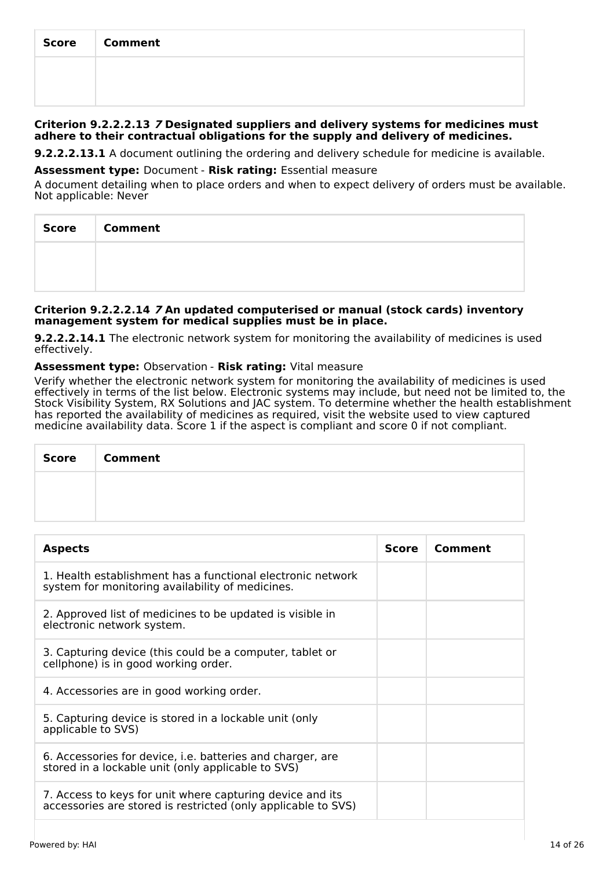| Score | <b>Comment</b> |
|-------|----------------|
|       |                |
|       |                |

#### **Criterion 9.2.2.2.13 7 Designated suppliers and delivery systems for medicines must adhere to their contractual obligations for the supply and delivery of medicines.**

**9.2.2.2.13.1** A document outlining the ordering and delivery schedule for medicine is available.

#### **Assessment type:** Document - **Risk rating:** Essential measure

A document detailing when to place orders and when to expect delivery of orders must be available. Not applicable: Never

| <b>Score</b> | <b>Comment</b> |
|--------------|----------------|
|              |                |
|              |                |

#### **Criterion 9.2.2.2.14 7 An updated computerised or manual (stock cards) inventory management system for medical supplies must be in place.**

**9.2.2.2.14.1** The electronic network system for monitoring the availability of medicines is used effectively.

## **Assessment type:** Observation - **Risk rating:** Vital measure

Verify whether the electronic network system for monitoring the availability of medicines is used effectively in terms of the list below. Electronic systems may include, but need not be limited to, the Stock Visibility System, RX Solutions and JAC system. To determine whether the health establishment has reported the availability of medicines as required, visit the website used to view captured medicine availability data. Score 1 if the aspect is compliant and score 0 if not compliant.

| <b>Score</b> | <b>Comment</b> |
|--------------|----------------|
|              |                |
|              |                |

| <b>Aspects</b>                                                                                                             | <b>Score</b> | Comment |
|----------------------------------------------------------------------------------------------------------------------------|--------------|---------|
| 1. Health establishment has a functional electronic network<br>system for monitoring availability of medicines.            |              |         |
| 2. Approved list of medicines to be updated is visible in<br>electronic network system.                                    |              |         |
| 3. Capturing device (this could be a computer, tablet or<br>cellphone) is in good working order.                           |              |         |
| 4. Accessories are in good working order.                                                                                  |              |         |
| 5. Capturing device is stored in a lockable unit (only<br>applicable to SVS)                                               |              |         |
| 6. Accessories for device, i.e. batteries and charger, are<br>stored in a lockable unit (only applicable to SVS)           |              |         |
| 7. Access to keys for unit where capturing device and its<br>accessories are stored is restricted (only applicable to SVS) |              |         |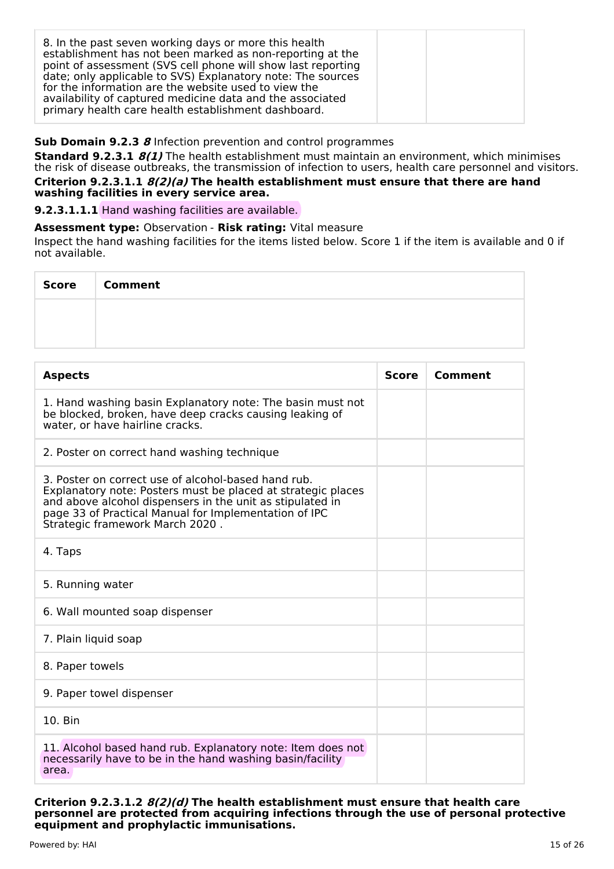| 8. In the past seven working days or more this health<br>establishment has not been marked as non-reporting at the<br>point of assessment (SVS cell phone will show last reporting<br>date; only applicable to SVS) Explanatory note: The sources<br>for the information are the website used to view the<br>availability of captured medicine data and the associated<br>primary health care health establishment dashboard. |  |  |
|-------------------------------------------------------------------------------------------------------------------------------------------------------------------------------------------------------------------------------------------------------------------------------------------------------------------------------------------------------------------------------------------------------------------------------|--|--|
|-------------------------------------------------------------------------------------------------------------------------------------------------------------------------------------------------------------------------------------------------------------------------------------------------------------------------------------------------------------------------------------------------------------------------------|--|--|

## **Sub Domain 9.2.3 8** Infection prevention and control programmes

**Standard 9.2.3.1 8(1)** The health establishment must maintain an environment, which minimises the risk of disease outbreaks, the transmission of infection to users, health care personnel and visitors. **Criterion 9.2.3.1.1 8(2)(a) The health establishment must ensure that there are hand washing facilities in every service area.**

**9.2.3.1.1.1** Hand washing facilities are available.

#### **Assessment type:** Observation - **Risk rating:** Vital measure

Inspect the hand washing facilities for the items listed below. Score 1 if the item is available and 0 if not available.

| Score | <b>Comment</b> |
|-------|----------------|
|       |                |
|       |                |

| <b>Aspects</b>                                                                                                                                                                                                                                                               | <b>Score</b> | Comment |
|------------------------------------------------------------------------------------------------------------------------------------------------------------------------------------------------------------------------------------------------------------------------------|--------------|---------|
| 1. Hand washing basin Explanatory note: The basin must not<br>be blocked, broken, have deep cracks causing leaking of<br>water, or have hairline cracks.                                                                                                                     |              |         |
| 2. Poster on correct hand washing technique                                                                                                                                                                                                                                  |              |         |
| 3. Poster on correct use of alcohol-based hand rub.<br>Explanatory note: Posters must be placed at strategic places<br>and above alcohol dispensers in the unit as stipulated in<br>page 33 of Practical Manual for Implementation of IPC<br>Strategic framework March 2020. |              |         |
| 4. Taps                                                                                                                                                                                                                                                                      |              |         |
| 5. Running water                                                                                                                                                                                                                                                             |              |         |
| 6. Wall mounted soap dispenser                                                                                                                                                                                                                                               |              |         |
| 7. Plain liquid soap                                                                                                                                                                                                                                                         |              |         |
| 8. Paper towels                                                                                                                                                                                                                                                              |              |         |
| 9. Paper towel dispenser                                                                                                                                                                                                                                                     |              |         |
| 10. Bin                                                                                                                                                                                                                                                                      |              |         |
| 11. Alcohol based hand rub. Explanatory note: Item does not<br>necessarily have to be in the hand washing basin/facility<br>area.                                                                                                                                            |              |         |

**Criterion 9.2.3.1.2 8(2)(d) The health establishment must ensure that health care personnel are protected from acquiring infections through the use of personal protective equipment and prophylactic immunisations.**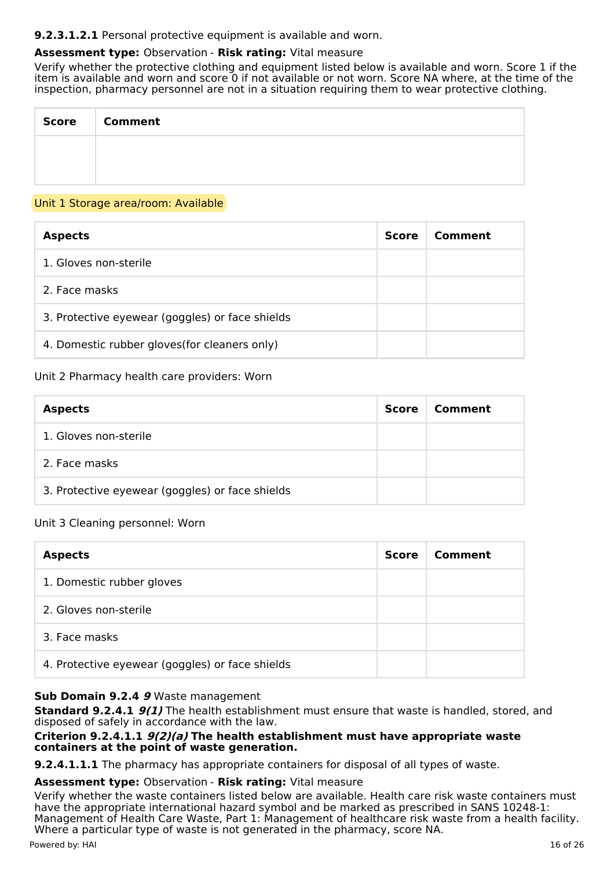## **9.2.3.1.2.1** Personal protective equipment is available and worn.

## **Assessment type:** Observation - **Risk rating:** Vital measure

Verify whether the protective clothing and equipment listed below is available and worn. Score 1 if the item is available and worn and score 0 if not available or not worn. Score NA where, at the time of the inspection, pharmacy personnel are not in a situation requiring them to wear protective clothing.

| Score   Comment |
|-----------------|
|                 |
|                 |

#### Unit 1 Storage area/room: Available

| <b>Aspects</b>                                  | Score | Comment |
|-------------------------------------------------|-------|---------|
| 1. Gloves non-sterile                           |       |         |
| 2. Face masks                                   |       |         |
| 3. Protective eyewear (goggles) or face shields |       |         |
| 4. Domestic rubber gloves (for cleaners only)   |       |         |

## Unit 2 Pharmacy health care providers: Worn

| <b>Aspects</b>                                  | Score | Comment |
|-------------------------------------------------|-------|---------|
| 1. Gloves non-sterile                           |       |         |
| 2. Face masks                                   |       |         |
| 3. Protective eyewear (goggles) or face shields |       |         |

## Unit 3 Cleaning personnel: Worn

| <b>Aspects</b>                                  | <b>Score</b> | Comment |
|-------------------------------------------------|--------------|---------|
| 1. Domestic rubber gloves                       |              |         |
| 2. Gloves non-sterile                           |              |         |
| 3. Face masks                                   |              |         |
| 4. Protective eyewear (goggles) or face shields |              |         |

#### **Sub Domain 9.2.4 9** Waste management

**Standard 9.2.4.1 9(1)** The health establishment must ensure that waste is handled, stored, and disposed of safely in accordance with the law.

#### **Criterion 9.2.4.1.1 9(2)(a) The health establishment must have appropriate waste containers at the point of waste generation.**

**9.2.4.1.1.1** The pharmacy has appropriate containers for disposal of all types of waste.

#### **Assessment type:** Observation - **Risk rating:** Vital measure

Verify whether the waste containers listed below are available. Health care risk waste containers must have the appropriate international hazard symbol and be marked as prescribed in SANS 10248-1: Management of Health Care Waste, Part 1: Management of healthcare risk waste from a health facility. Where a particular type of waste is not generated in the pharmacy, score NA.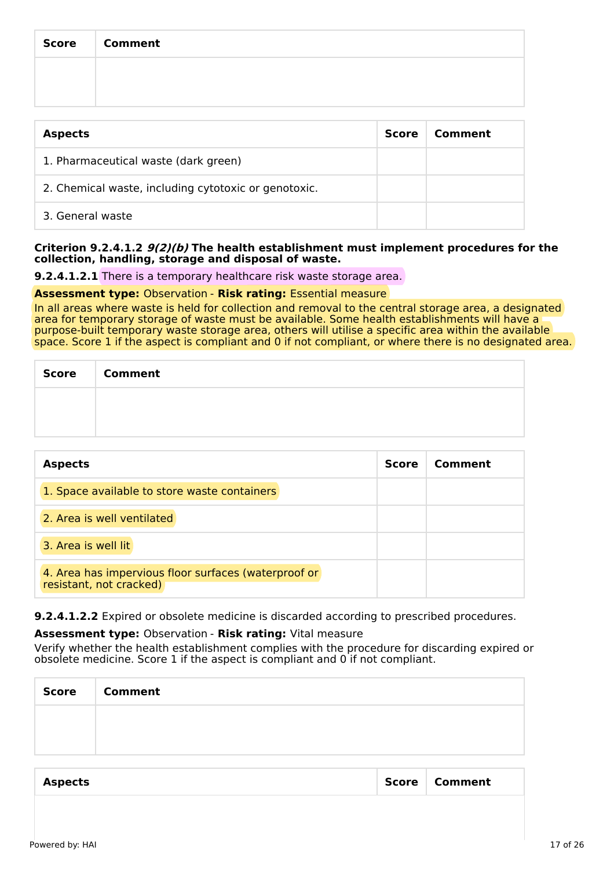| Score   Comment |
|-----------------|
|                 |
|                 |

| <b>Aspects</b>                                       | Score | Comment |
|------------------------------------------------------|-------|---------|
| 1. Pharmaceutical waste (dark green)                 |       |         |
| 2. Chemical waste, including cytotoxic or genotoxic. |       |         |
| 3. General waste                                     |       |         |

#### **Criterion 9.2.4.1.2 9(2)(b) The health establishment must implement procedures for the collection, handling, storage and disposal of waste.**

**9.2.4.1.2.1** There is a temporary healthcare risk waste storage area.

#### **Assessment type:** Observation - **Risk rating:** Essential measure

In all areas where waste is held for collection and removal to the central storage area, a designated area for temporary storage of waste must be available. Some health establishments will have a purpose-built temporary waste storage area, others will utilise a specific area within the available space. Score 1 if the aspect is compliant and 0 if not compliant, or where there is no designated area.

| Score   Comment |
|-----------------|
|                 |
|                 |

| <b>Aspects</b>                                                                  | <b>Score</b> | Comment |
|---------------------------------------------------------------------------------|--------------|---------|
| 1. Space available to store waste containers                                    |              |         |
| 2. Area is well ventilated                                                      |              |         |
| 3. Area is well lit                                                             |              |         |
| 4. Area has impervious floor surfaces (waterproof or<br>resistant, not cracked) |              |         |

**9.2.4.1.2.2** Expired or obsolete medicine is discarded according to prescribed procedures.

#### **Assessment type:** Observation - **Risk rating:** Vital measure

Verify whether the health establishment complies with the procedure for discarding expired or obsolete medicine. Score 1 if the aspect is compliant and 0 if not compliant.

| <b>Score</b> | <b>Comment</b> |
|--------------|----------------|
|              |                |
|              |                |

| <b>Aspects</b> | Score | ∣ Comment |
|----------------|-------|-----------|
|----------------|-------|-----------|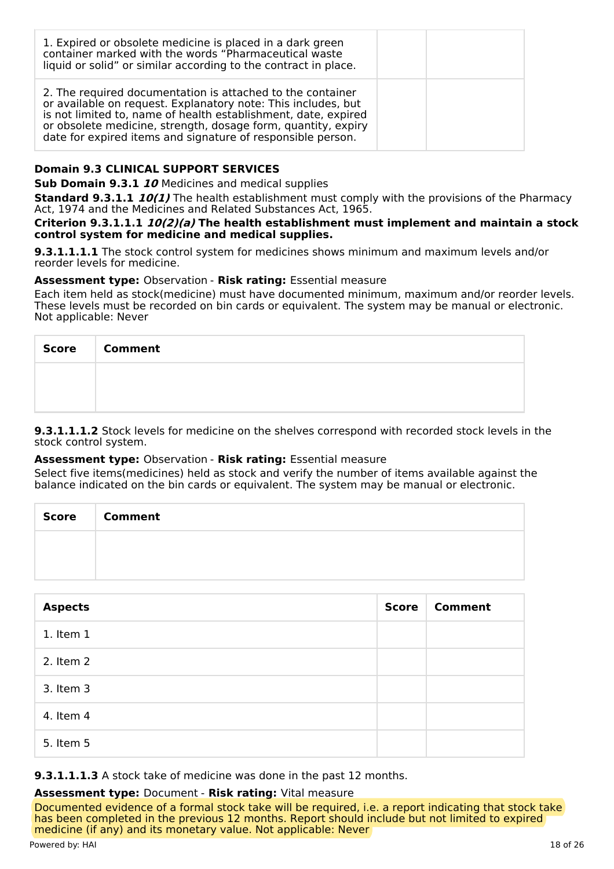| 1. Expired or obsolete medicine is placed in a dark green<br>container marked with the words "Pharmaceutical waste<br>liquid or solid" or similar according to the contract in place.                                                                                                                                         |  |
|-------------------------------------------------------------------------------------------------------------------------------------------------------------------------------------------------------------------------------------------------------------------------------------------------------------------------------|--|
| 2. The required documentation is attached to the container<br>or available on request. Explanatory note: This includes, but<br>is not limited to, name of health establishment, date, expired<br>or obsolete medicine, strength, dosage form, quantity, expiry<br>date for expired items and signature of responsible person. |  |

## **Domain 9.3 CLINICAL SUPPORT SERVICES**

**Sub Domain 9.3.1 10** Medicines and medical supplies

**Standard 9.3.1.1 10(1)** The health establishment must comply with the provisions of the Pharmacy Act, 1974 and the Medicines and Related Substances Act, 1965.

**Criterion 9.3.1.1.1 10(2)(a) The health establishment must implement and maintain a stock control system for medicine and medical supplies.**

**9.3.1.1.1.1** The stock control system for medicines shows minimum and maximum levels and/or reorder levels for medicine.

#### **Assessment type:** Observation - **Risk rating:** Essential measure

Each item held as stock(medicine) must have documented minimum, maximum and/or reorder levels. These levels must be recorded on bin cards or equivalent. The system may be manual or electronic. Not applicable: Never

| Score Comment |
|---------------|
|               |
|               |

**9.3.1.1.1.2** Stock levels for medicine on the shelves correspond with recorded stock levels in the stock control system.

## **Assessment type:** Observation - **Risk rating:** Essential measure

Select five items(medicines) held as stock and verify the number of items available against the balance indicated on the bin cards or equivalent. The system may be manual or electronic.

| <b>Score</b> | <b>Comment</b> |
|--------------|----------------|
|              |                |
|              |                |

| <b>Aspects</b> | <b>Score</b> | <b>Comment</b> |
|----------------|--------------|----------------|
| 1. Item 1      |              |                |
| 2. Item 2      |              |                |
| 3. Item 3      |              |                |
| 4. Item 4      |              |                |
| 5. Item 5      |              |                |

**9.3.1.1.1.3** A stock take of medicine was done in the past 12 months.

#### **Assessment type:** Document - **Risk rating:** Vital measure

Documented evidence of a formal stock take will be required, i.e. a report indicating that stock take has been completed in the previous 12 months. Report should include but not limited to expired medicine (if any) and its monetary value. Not applicable: Never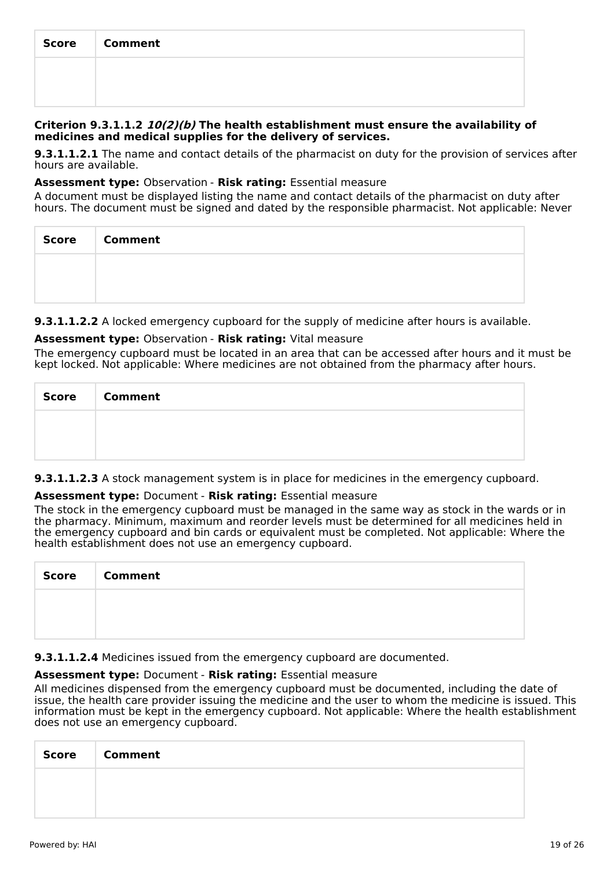| <b>Score</b> | <b>Comment</b> |
|--------------|----------------|
|              |                |
|              |                |

#### **Criterion 9.3.1.1.2 10(2)(b) The health establishment must ensure the availability of medicines and medical supplies for the delivery of services.**

**9.3.1.1.2.1** The name and contact details of the pharmacist on duty for the provision of services after hours are available.

#### **Assessment type:** Observation - **Risk rating:** Essential measure

A document must be displayed listing the name and contact details of the pharmacist on duty after hours. The document must be signed and dated by the responsible pharmacist. Not applicable: Never

| <b>Score</b> | <b>Comment</b> |
|--------------|----------------|
|              |                |
|              |                |

**9.3.1.1.2.2** A locked emergency cupboard for the supply of medicine after hours is available.

## **Assessment type:** Observation - **Risk rating:** Vital measure

The emergency cupboard must be located in an area that can be accessed after hours and it must be kept locked. Not applicable: Where medicines are not obtained from the pharmacy after hours.

| Score   Comment |
|-----------------|
|                 |
|                 |

**9.3.1.1.2.3** A stock management system is in place for medicines in the emergency cupboard.

## **Assessment type:** Document - **Risk rating:** Essential measure

The stock in the emergency cupboard must be managed in the same way as stock in the wards or in the pharmacy. Minimum, maximum and reorder levels must be determined for all medicines held in the emergency cupboard and bin cards or equivalent must be completed. Not applicable: Where the health establishment does not use an emergency cupboard.

| <b>Score</b> | <b>Comment</b> |
|--------------|----------------|
|              |                |
|              |                |

**9.3.1.1.2.4** Medicines issued from the emergency cupboard are documented.

## **Assessment type:** Document - **Risk rating:** Essential measure

All medicines dispensed from the emergency cupboard must be documented, including the date of issue, the health care provider issuing the medicine and the user to whom the medicine is issued. This information must be kept in the emergency cupboard. Not applicable: Where the health establishment does not use an emergency cupboard.

| <b>Score</b> | Comment |
|--------------|---------|
|              |         |
|              |         |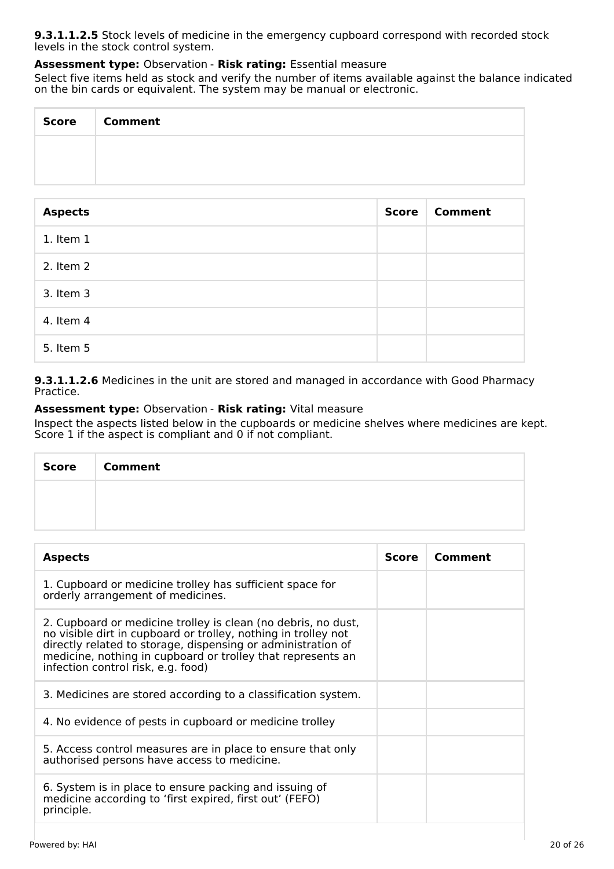**9.3.1.1.2.5** Stock levels of medicine in the emergency cupboard correspond with recorded stock levels in the stock control system.

#### **Assessment type:** Observation - **Risk rating:** Essential measure

Select five items held as stock and verify the number of items available against the balance indicated on the bin cards or equivalent. The system may be manual or electronic.

| Score   Comment |
|-----------------|
|                 |
|                 |

| <b>Aspects</b> | <b>Score</b> | <b>Comment</b> |
|----------------|--------------|----------------|
| $1.$ Item $1$  |              |                |
| 2. Item 2      |              |                |
| 3. Item 3      |              |                |
| 4. Item 4      |              |                |
| 5. Item 5      |              |                |

**9.3.1.1.2.6** Medicines in the unit are stored and managed in accordance with Good Pharmacy Practice.

## **Assessment type:** Observation - **Risk rating:** Vital measure

Inspect the aspects listed below in the cupboards or medicine shelves where medicines are kept. Score 1 if the aspect is compliant and 0 if not compliant.

| <b>Score</b> | <b>Comment</b> |
|--------------|----------------|
|              |                |
|              |                |

| <b>Aspects</b>                                                                                                                                                                                                                                                                                       | Score | Comment |
|------------------------------------------------------------------------------------------------------------------------------------------------------------------------------------------------------------------------------------------------------------------------------------------------------|-------|---------|
| 1. Cupboard or medicine trolley has sufficient space for<br>orderly arrangement of medicines.                                                                                                                                                                                                        |       |         |
| 2. Cupboard or medicine trolley is clean (no debris, no dust,<br>no visible dirt in cupboard or trolley, nothing in trolley not<br>directly related to storage, dispensing or administration of<br>medicine, nothing in cupboard or trolley that represents an<br>infection control risk, e.g. food) |       |         |
| 3. Medicines are stored according to a classification system.                                                                                                                                                                                                                                        |       |         |
| 4. No evidence of pests in cupboard or medicine trolley                                                                                                                                                                                                                                              |       |         |
| 5. Access control measures are in place to ensure that only<br>authorised persons have access to medicine.                                                                                                                                                                                           |       |         |
| 6. System is in place to ensure packing and issuing of<br>medicine according to 'first expired, first out' (FEFO)<br>principle.                                                                                                                                                                      |       |         |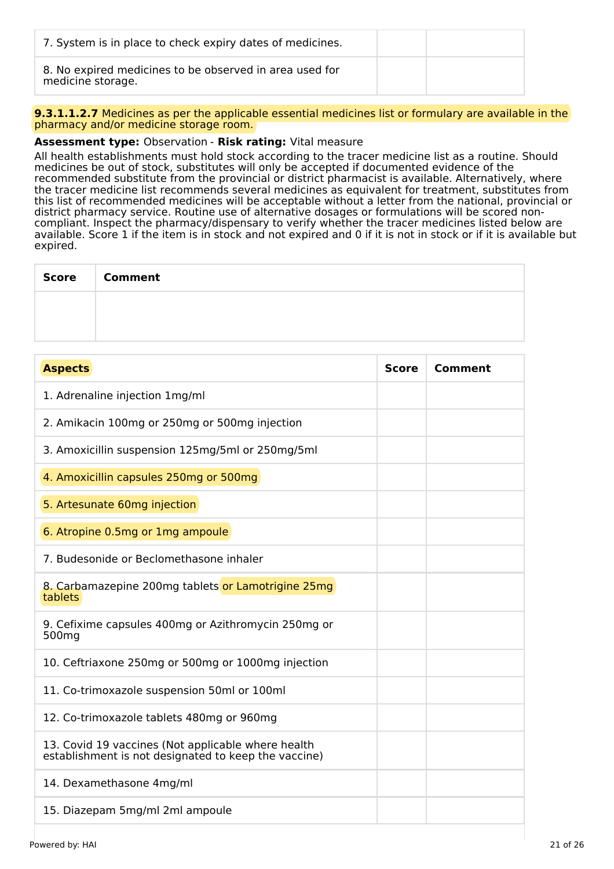| 7. System is in place to check expiry dates of medicines.                    |  |
|------------------------------------------------------------------------------|--|
| 8. No expired medicines to be observed in area used for<br>medicine storage. |  |

**9.3.1.1.2.7** Medicines as per the applicable essential medicines list or formulary are available in the pharmacy and/or medicine storage room.

## **Assessment type:** Observation - **Risk rating:** Vital measure

All health establishments must hold stock according to the tracer medicine list as a routine. Should medicines be out of stock, substitutes will only be accepted if documented evidence of the recommended substitute from the provincial or district pharmacist is available. Alternatively, where the tracer medicine list recommends several medicines as equivalent for treatment, substitutes from this list of recommended medicines will be acceptable without a letter from the national, provincial or district pharmacy service. Routine use of alternative dosages or formulations will be scored noncompliant. Inspect the pharmacy/dispensary to verify whether the tracer medicines listed below are available. Score 1 if the item is in stock and not expired and 0 if it is not in stock or if it is available but expired.

| Score Comment |
|---------------|
|               |
|               |

| <b>Aspects</b>                                                                                             | <b>Score</b> | <b>Comment</b> |
|------------------------------------------------------------------------------------------------------------|--------------|----------------|
| 1. Adrenaline injection 1mg/ml                                                                             |              |                |
| 2. Amikacin 100mg or 250mg or 500mg injection                                                              |              |                |
| 3. Amoxicillin suspension 125mg/5ml or 250mg/5ml                                                           |              |                |
| 4. Amoxicillin capsules 250mg or 500mg                                                                     |              |                |
| 5. Artesunate 60mg injection                                                                               |              |                |
| 6. Atropine 0.5mg or 1mg ampoule                                                                           |              |                |
| 7. Budesonide or Beclomethasone inhaler                                                                    |              |                |
| 8. Carbamazepine 200mg tablets or Lamotrigine 25mg<br>tablets                                              |              |                |
| 9. Cefixime capsules 400mg or Azithromycin 250mg or<br>500 <sub>mg</sub>                                   |              |                |
| 10. Ceftriaxone 250mg or 500mg or 1000mg injection                                                         |              |                |
| 11. Co-trimoxazole suspension 50ml or 100ml                                                                |              |                |
| 12. Co-trimoxazole tablets 480mg or 960mg                                                                  |              |                |
| 13. Covid 19 vaccines (Not applicable where health<br>establishment is not designated to keep the vaccine) |              |                |
| 14. Dexamethasone 4mg/ml                                                                                   |              |                |
| 15. Diazepam 5mg/ml 2ml ampoule                                                                            |              |                |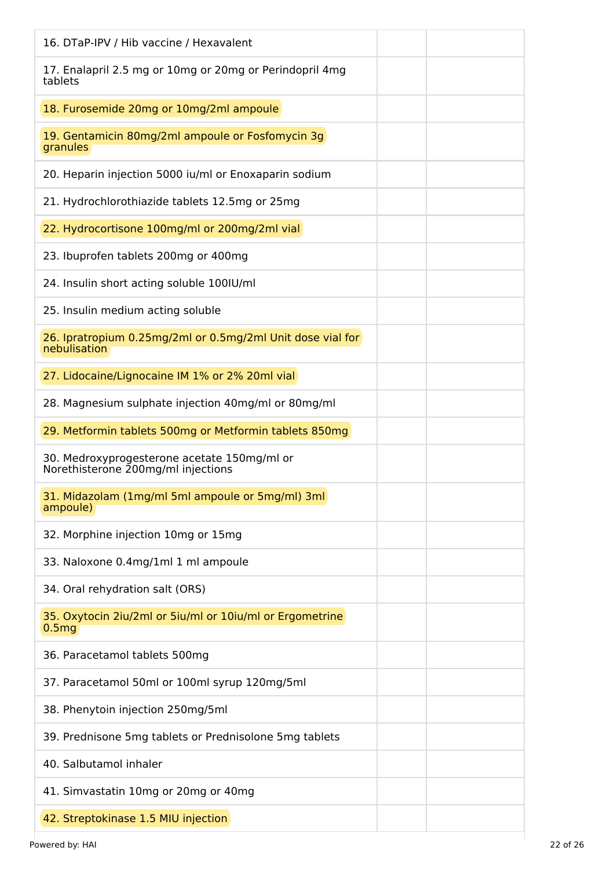| 16. DTaP-IPV / Hib vaccine / Hexavalent                                           |
|-----------------------------------------------------------------------------------|
| 17. Enalapril 2.5 mg or 10mg or 20mg or Perindopril 4mg<br>tablets                |
| 18. Furosemide 20mg or 10mg/2ml ampoule                                           |
| 19. Gentamicin 80mg/2ml ampoule or Fosfomycin 3g<br>granules                      |
| 20. Heparin injection 5000 iu/ml or Enoxaparin sodium                             |
| 21. Hydrochlorothiazide tablets 12.5mg or 25mg                                    |
| 22. Hydrocortisone 100mg/ml or 200mg/2ml vial                                     |
| 23. Ibuprofen tablets 200mg or 400mg                                              |
| 24. Insulin short acting soluble 100IU/ml                                         |
| 25. Insulin medium acting soluble                                                 |
| 26. Ipratropium 0.25mg/2ml or 0.5mg/2ml Unit dose vial for<br>nebulisation        |
| 27. Lidocaine/Lignocaine IM 1% or 2% 20ml vial                                    |
| 28. Magnesium sulphate injection 40mg/ml or 80mg/ml                               |
| 29. Metformin tablets 500mg or Metformin tablets 850mg                            |
| 30. Medroxyprogesterone acetate 150mg/ml or<br>Norethisterone 200mg/ml injections |
| 31. Midazolam (1mg/ml 5ml ampoule or 5mg/ml) 3ml<br>ampoule)                      |
| 32. Morphine injection 10mg or 15mg                                               |
| 33. Naloxone 0.4mg/1ml 1 ml ampoule                                               |
| 34. Oral rehydration salt (ORS)                                                   |
| 35. Oxytocin 2iu/2ml or 5iu/ml or 10iu/ml or Ergometrine<br>0.5 <sub>mg</sub>     |
| 36. Paracetamol tablets 500mg                                                     |
| 37. Paracetamol 50ml or 100ml syrup 120mg/5ml                                     |
| 38. Phenytoin injection 250mg/5ml                                                 |
| 39. Prednisone 5mg tablets or Prednisolone 5mg tablets                            |
| 40. Salbutamol inhaler                                                            |
| 41. Simvastatin 10mg or 20mg or 40mg                                              |
| 42. Streptokinase 1.5 MIU injection                                               |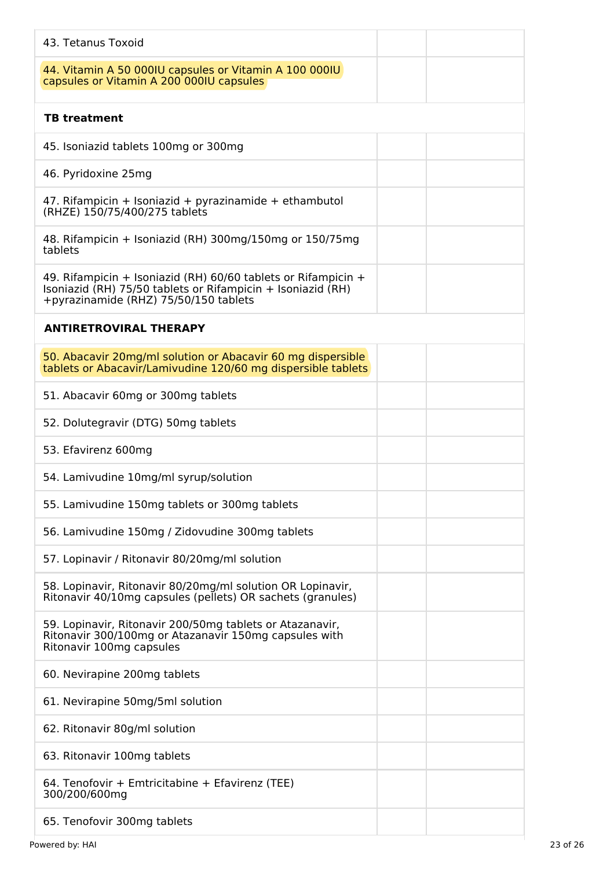| 43. Tetanus Toxoid                                                                                                                                                      |
|-------------------------------------------------------------------------------------------------------------------------------------------------------------------------|
| 44. Vitamin A 50 000IU capsules or Vitamin A 100 000IU<br>capsules or Vitamin A 200 000IU capsules                                                                      |
| <b>TB treatment</b>                                                                                                                                                     |
| 45. Isoniazid tablets 100mg or 300mg                                                                                                                                    |
| 46. Pyridoxine 25mg                                                                                                                                                     |
| 47. Rifampicin + Isoniazid + pyrazinamide + ethambutol<br>(RHZE) 150/75/400/275 tablets                                                                                 |
| 48. Rifampicin + Isoniazid (RH) 300mg/150mg or 150/75mg<br>tablets                                                                                                      |
| 49. Rifampicin + Isoniazid (RH) 60/60 tablets or Rifampicin +<br>Isoniazid (RH) $75/50$ tablets or Rifampicin + Isoniazid (RH)<br>+pyrazinamide (RHZ) 75/50/150 tablets |
| <b>ANTIRETROVIRAL THERAPY</b>                                                                                                                                           |
| 50. Abacavir 20mg/ml solution or Abacavir 60 mg dispersible<br>tablets or Abacavir/Lamivudine 120/60 mg dispersible tablets                                             |
| 51. Abacavir 60mg or 300mg tablets                                                                                                                                      |
| 52. Dolutegravir (DTG) 50mg tablets                                                                                                                                     |
| 53. Efavirenz 600mg                                                                                                                                                     |
| 54. Lamivudine 10mg/ml syrup/solution                                                                                                                                   |
| 55. Lamivudine 150mg tablets or 300mg tablets                                                                                                                           |
| 56. Lamivudine 150mg / Zidovudine 300mg tablets                                                                                                                         |
| 57. Lopinavir / Ritonavir 80/20mg/ml solution                                                                                                                           |
| 58. Lopinavir, Ritonavir 80/20mg/ml solution OR Lopinavir,<br>Ritonavir 40/10mg capsules (pellets) OR sachets (granules)                                                |
| 59. Lopinavir, Ritonavir 200/50mg tablets or Atazanavir,<br>Ritonavir 300/100mg or Atazanavir 150mg capsules with<br>Ritonavir 100mg capsules                           |
| 60. Nevirapine 200mg tablets                                                                                                                                            |
| 61. Nevirapine 50mg/5ml solution                                                                                                                                        |
| 62. Ritonavir 80g/ml solution                                                                                                                                           |
| 63. Ritonavir 100mg tablets                                                                                                                                             |
| 64. Tenofovir + Emtricitabine + Efavirenz (TEE)<br>300/200/600mg                                                                                                        |
| 65. Tenofovir 300mg tablets                                                                                                                                             |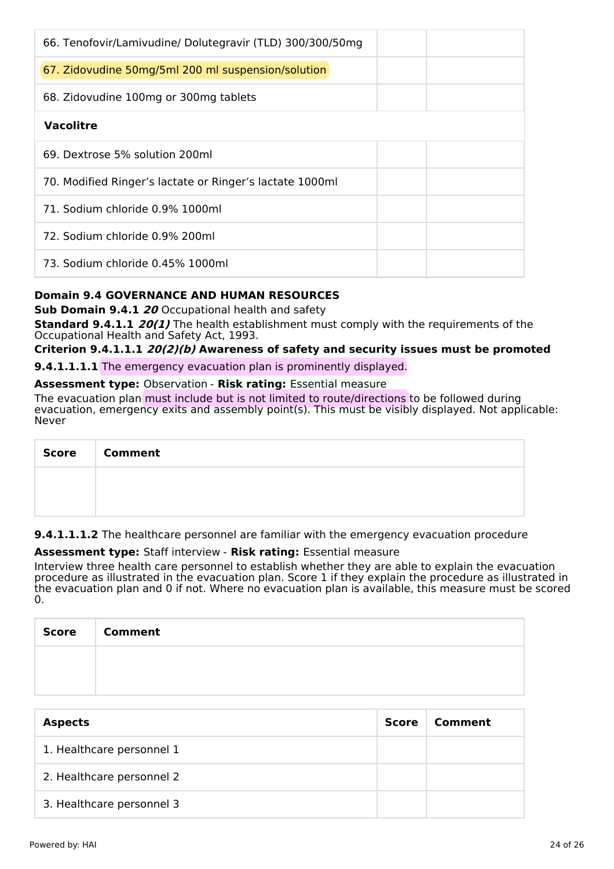| 66. Tenofovir/Lamivudine/ Dolutegravir (TLD) 300/300/50mg |
|-----------------------------------------------------------|
| 67. Zidovudine 50mg/5ml 200 ml suspension/solution        |
| 68. Zidovudine 100mg or 300mg tablets                     |
| <b>Vacolitre</b>                                          |
| 69. Dextrose 5% solution 200ml                            |
| 70. Modified Ringer's lactate or Ringer's lactate 1000ml  |
| 71. Sodium chloride 0.9% 1000ml                           |
| 72. Sodium chloride 0.9% 200ml                            |
| 73. Sodium chloride 0.45% 1000ml                          |

## **Domain 9.4 GOVERNANCE AND HUMAN RESOURCES**

**Sub Domain 9.4.1 20** Occupational health and safety

**Standard 9.4.1.1 20(1)** The health establishment must comply with the requirements of the Occupational Health and Safety Act, 1993.

## **Criterion 9.4.1.1.1 20(2)(b) Awareness of safety and security issues must be promoted**

**9.4.1.1.1.1** The emergency evacuation plan is prominently displayed.

#### **Assessment type:** Observation - **Risk rating:** Essential measure

The evacuation plan must include but is not limited to route/directions to be followed during evacuation, emergency exits and assembly point(s). This must be visibly displayed. Not applicable: Never

| Score   Comment |
|-----------------|
|                 |
|                 |

**9.4.1.1.1.2** The healthcare personnel are familiar with the emergency evacuation procedure

#### **Assessment type:** Staff interview - **Risk rating:** Essential measure

Interview three health care personnel to establish whether they are able to explain the evacuation procedure as illustrated in the evacuation plan. Score 1 if they explain the procedure as illustrated in the evacuation plan and 0 if not. Where no evacuation plan is available, this measure must be scored  $\Omega$ .

| <b>Score</b> | <b>Comment</b> |
|--------------|----------------|
|              |                |
|              |                |

| <b>Aspects</b>            | <b>Score</b> | Comment |
|---------------------------|--------------|---------|
| 1. Healthcare personnel 1 |              |         |
| 2. Healthcare personnel 2 |              |         |
| 3. Healthcare personnel 3 |              |         |